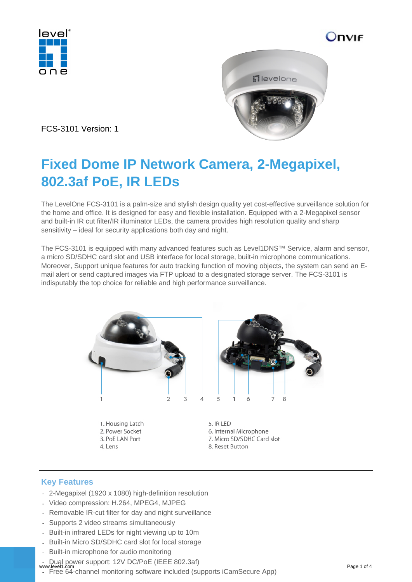





FCS-3101 Version: 1

# **Fixed Dome IP Network Camera, 2-Megapixel, 802.3af PoE, IR LEDs**

The LevelOne FCS-3101 is a palm-size and stylish design quality yet cost-effective surveillance solution for the home and office. It is designed for easy and flexible installation. Equipped with a 2-Megapixel sensor and built-in IR cut filter/IR illuminator LEDs, the camera provides high resolution quality and sharp sensitivity – ideal for security applications both day and night.

The FCS-3101 is equipped with many advanced features such as Level1DNS™ Service, alarm and sensor, a micro SD/SDHC card slot and USB interface for local storage, built-in microphone communications. Moreover, Support unique features for auto tracking function of moving objects, the system can send an Email alert or send captured images via FTP upload to a designated storage server. The FCS-3101 is indisputably the top choice for reliable and high performance surveillance.



1. Housing Latch 2. Power Socket 3. PoE LAN Port 4. Lens

5. IR LED 6. Internal Microphone 7. Micro SD/SDHC Card slot 8. Reset Button

# **Key Features**

- 2-Megapixel (1920 x 1080) high-definition resolution
- Video compression: H.264, MPEG4, MJPEG
- Removable IR-cut filter for day and night surveillance
- Supports 2 video streams simultaneously
- Built-in infrared LEDs for night viewing up to 10m
- Built-in Micro SD/SDHC card slot for local storage
- Built-in microphone for audio monitoring
- Dual power support: 12V DC/PoE (IEEE 802.3af)
- www.level1.com Page 1 of 4<br>
Free 64-channel monitoring software included (supports iCamSecure App)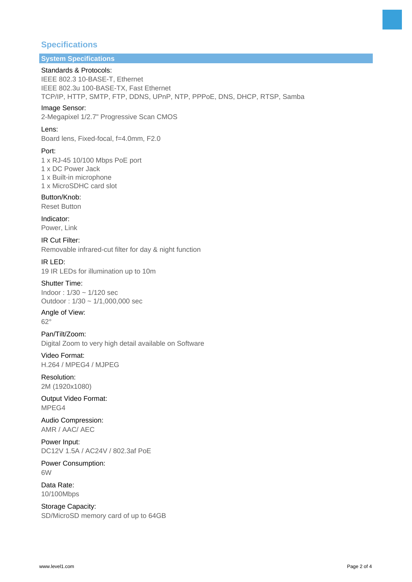# **Specifications**

# **System Specifications**

## Standards & Protocols:

IEEE 802.3 10-BASE-T, Ethernet IEEE 802.3u 100-BASE-TX, Fast Ethernet TCP/IP, HTTP, SMTP, FTP, DDNS, UPnP, NTP, PPPoE, DNS, DHCP, RTSP, Samba

#### Image Sensor:

2-Megapixel 1/2.7" Progressive Scan CMOS

#### Lens:

Board lens, Fixed-focal, f=4.0mm, F2.0

#### Port:

1 x RJ-45 10/100 Mbps PoE port 1 x DC Power Jack 1 x Built-in microphone

1 x MicroSDHC card slot

Button/Knob: Reset Button

Indicator: Power, Link

IR Cut Filter: Removable infrared-cut filter for day & night function

IR LED: 19 IR LEDs for illumination up to 10m

#### Shutter Time: Indoor : 1/30 ~ 1/120 sec Outdoor : 1/30 ~ 1/1,000,000 sec

Angle of View: 62°

Pan/Tilt/Zoom: Digital Zoom to very high detail available on Software

Video Format: H.264 / MPEG4 / MJPEG

Resolution: 2M (1920x1080)

Output Video Format: MPEG4

Audio Compression: AMR / AAC/ AEC

Power Input: DC12V 1.5A / AC24V / 802.3af PoE

Power Consumption: 6W

Data Rate: 10/100Mbps

Storage Capacity: SD/MicroSD memory card of up to 64GB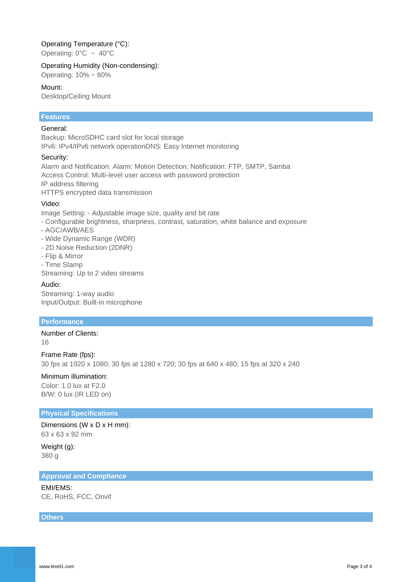## Operating Temperature (°C):

Operating:  $0^{\circ}$ C ~ 40°C

#### Operating Humidity (Non-condensing):

Operating: 10% ~ 80%

#### Mount:

Desktop/Ceiling Mount

## **Features**

#### General:

Backup: MicroSDHC card slot for local storage IPv6: IPv4/IPv6 network operationDNS: Easy Internet monitoring

#### Security:

Alarm and Notification: Alarm: Motion Detection; Notification: FTP, SMTP, Samba Access Control: Multi-level user access with password protection IP address filtering HTTPS encrypted data transmission

Video:

Image Setting: - Adjustable image size, quality and bit rate

- Configurable brightness, sharpness, contrast, saturation, white balance and exposure
- AGC/AWB/AES
- Wide Dynamic Range (WDR)
- 2D Noise Reduction (2DNR)
- Flip & Mirror
- Time Stamp

Streaming: Up to 2 video streams

#### Audio:

Streaming: 1-way audio Input/Output: Built-in microphone

## **Performance**

Number of Clients:

16

Frame Rate (fps): 30 fps at 1920 x 1080; 30 fps at 1280 x 720; 30 fps at 640 x 480; 15 fps at 320 x 240

#### Minimum illumination:

Color: 1.0 lux at F2.0 B/W: 0 lux (IR LED on)

#### **Physical Specifications**

#### Dimensions (W x D x H mm):

63 x 63 x 92 mm

Weight (g): 380 g

## **Approval and Compliance**

EMI/EMS:

CE, RoHS, FCC, Onvif

**Others**